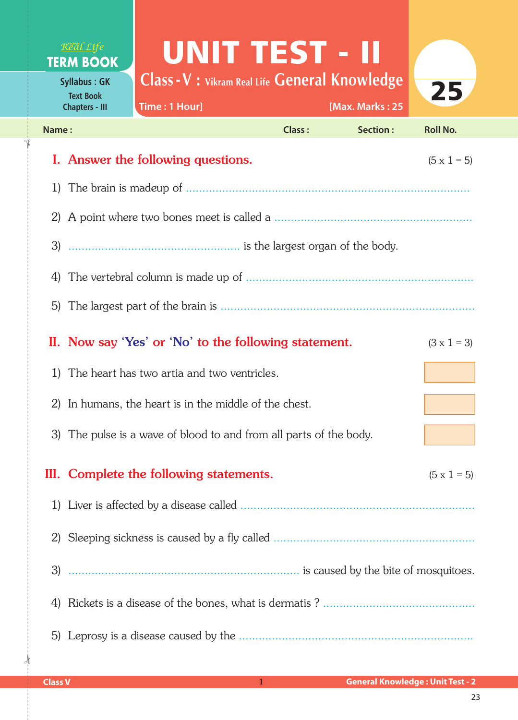## Real Life **TERM BOOK**

**Syllabus : GK Text Book Chapters - III**

✁

## UNIT TEST - II

**Class -V : Vikram Real Life General Knowledge**



|       | Time: 1 Hour]<br><b>Chapters - III</b>                             |               | [Max. Marks: 25 |                    |  |
|-------|--------------------------------------------------------------------|---------------|-----------------|--------------------|--|
| Name: |                                                                    | <b>Class:</b> | Section:        | <b>Roll No.</b>    |  |
|       | I. Answer the following questions.                                 |               |                 | $(5 \times 1 = 5)$ |  |
| 1)    |                                                                    |               |                 |                    |  |
| 2)    |                                                                    |               |                 |                    |  |
|       |                                                                    |               |                 |                    |  |
| 4)    |                                                                    |               |                 |                    |  |
| 5)    |                                                                    |               |                 |                    |  |
|       | II. Now say 'Yes' or 'No' to the following statement.              |               |                 | $(3 \times 1 = 3)$ |  |
| 1)    | The heart has two artia and two ventricles.                        |               |                 |                    |  |
| 2)    | In humans, the heart is in the middle of the chest.                |               |                 |                    |  |
|       | 3) The pulse is a wave of blood to and from all parts of the body. |               |                 |                    |  |
| Ш.    | Complete the following statements.                                 |               |                 | $(5 \times 1 = 5)$ |  |
|       |                                                                    |               |                 |                    |  |
| 2)    |                                                                    |               |                 |                    |  |
|       |                                                                    |               |                 |                    |  |
| 4)    |                                                                    |               |                 |                    |  |
|       |                                                                    |               |                 |                    |  |

 $\frac{1}{2}$